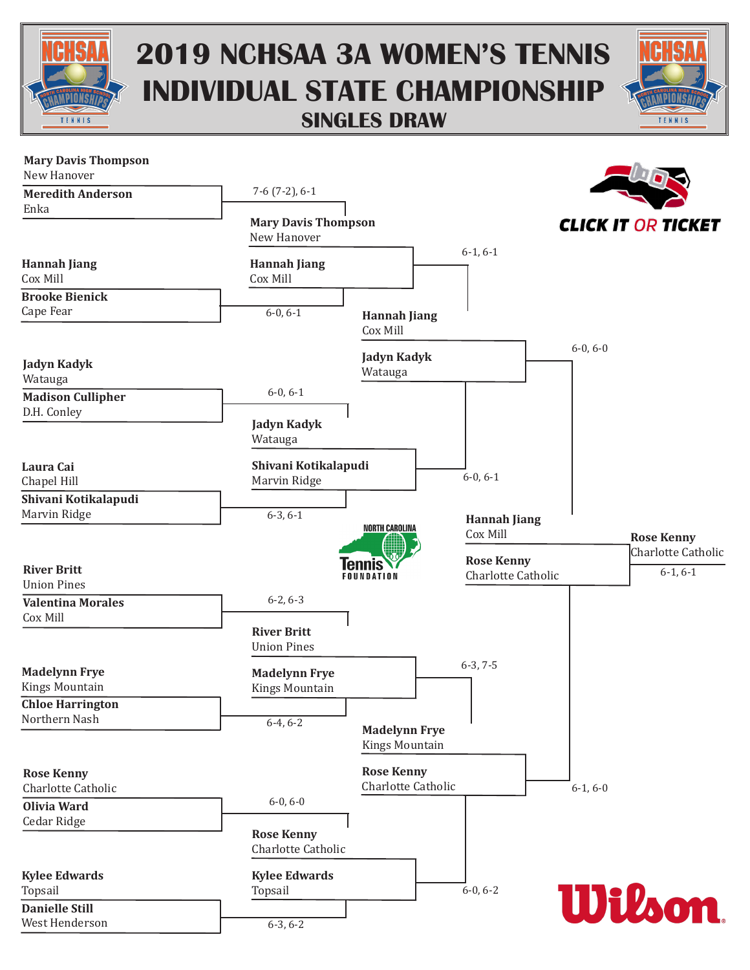

## **2019 NCHSAA 3A WOMEN'S TENNIS INDIVIDUAL STATE CHAMPIONSHIP SINGLES DRAW**